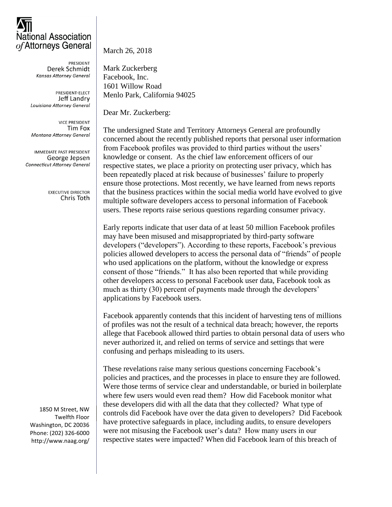## **National Association** of Attorneys General

**PRESIDENT** Derek Schmidt **Kansas Attorney General** 

PRESIDENT-ELECT Jeff Landry Louisiana Attorney General

**VICE PRESIDENT** Tim Fox Montana Attorney General

IMMEDIATE PAST PRESIDENT George Jepsen **Connecticut Attorney General** 

> **EXECUTIVE DIRECTOR** Chris Toth

1850 M Street, NW Twelfth Floor Washington, DC 20036 Phone: (202) 326-6000 http://www.naag.org/ March 26, 2018

Mark Zuckerberg Facebook, Inc. 1601 Willow Road Menlo Park, California 94025

Dear Mr. Zuckerberg:

The undersigned State and Territory Attorneys General are profoundly concerned about the recently published reports that personal user information from Facebook profiles was provided to third parties without the users' knowledge or consent. As the chief law enforcement officers of our respective states, we place a priority on protecting user privacy, which has been repeatedly placed at risk because of businesses' failure to properly ensure those protections. Most recently, we have learned from news reports that the business practices within the social media world have evolved to give multiple software developers access to personal information of Facebook users. These reports raise serious questions regarding consumer privacy.

Early reports indicate that user data of at least 50 million Facebook profiles may have been misused and misappropriated by third-party software developers ("developers"). According to these reports, Facebook's previous policies allowed developers to access the personal data of "friends" of people who used applications on the platform, without the knowledge or express consent of those "friends." It has also been reported that while providing other developers access to personal Facebook user data, Facebook took as much as thirty (30) percent of payments made through the developers' applications by Facebook users.

Facebook apparently contends that this incident of harvesting tens of millions of profiles was not the result of a technical data breach; however, the reports allege that Facebook allowed third parties to obtain personal data of users who never authorized it, and relied on terms of service and settings that were confusing and perhaps misleading to its users.

These revelations raise many serious questions concerning Facebook's policies and practices, and the processes in place to ensure they are followed. Were those terms of service clear and understandable, or buried in boilerplate where few users would even read them? How did Facebook monitor what these developers did with all the data that they collected? What type of controls did Facebook have over the data given to developers? Did Facebook have protective safeguards in place, including audits, to ensure developers were not misusing the Facebook user's data? How many users in our respective states were impacted? When did Facebook learn of this breach of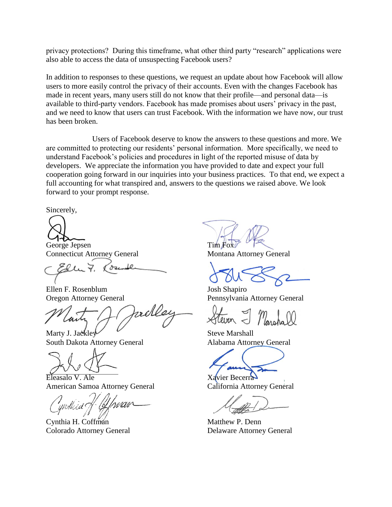privacy protections? During this timeframe, what other third party "research" applications were also able to access the data of unsuspecting Facebook users?

In addition to responses to these questions, we request an update about how Facebook will allow users to more easily control the privacy of their accounts. Even with the changes Facebook has made in recent years, many users still do not know that their profile—and personal data—is available to third-party vendors. Facebook has made promises about users' privacy in the past, and we need to know that users can trust Facebook. With the information we have now, our trust has been broken.

Users of Facebook deserve to know the answers to these questions and more. We are committed to protecting our residents' personal information. More specifically, we need to understand Facebook's policies and procedures in light of the reported misuse of data by developers. We appreciate the information you have provided to date and expect your full cooperation going forward in our inquiries into your business practices. To that end, we expect a full accounting for what transpired and, answers to the questions we raised above. We look forward to your prompt response.

Sincerely,

George Jepsen Tim Fox Connecticut Attorney General Montana Attorney General

Ellen F. Rosenblum Josh Shapiro

Marty J. Jackley Steve Marshall

South Dakota Attorney General Alabama Attorney General

Eleasalo V. Ale Xavier Becerra American Samoa Attorney General California Attorney General

Cynthia H. Coffman Matthew P. Denn

Oregon Attorney General Pennsylvania Attorney General

Colorado Attorney General Delaware Attorney General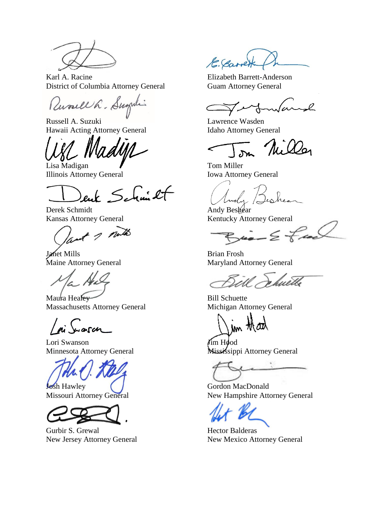

Karl A. Racine Elizabeth Barrett-Anderson District of Columbia Attorney General Guam Attorney General

Russell h. Sugali

Russell A. Suzuki **Lawrence Wasden** Hawaii Acting Attorney General Idaho Attorney General

Lisa Madigan **Tom Miller** Illinois Attorney General Iowa Attorney General

enk Schmilt

Derek Schmidt Andy Beshear

1 note

Janet Mills Brian Frosh

Maura Healey Bill Schuette Massachusetts Attorney General Michigan Attorney General

arch

Lori Swanson<br>
Minnesota Attorney General<br>
Mississipp



Gurbir S. Grewal **Hector Balderas** 

E. Carre

 $\sim$ l

Ni Was

Kansas Attorney General Kentucky Attorney General

 $\mu$ 

Maine Attorney General Maryland Attorney General

Which M.

jm thad

Mississippi Attorney General

**Josh Hawley Cordon MacDonald** Missouri Attorney General New Hampshire Attorney General

New Jersey Attorney General New Mexico Attorney General